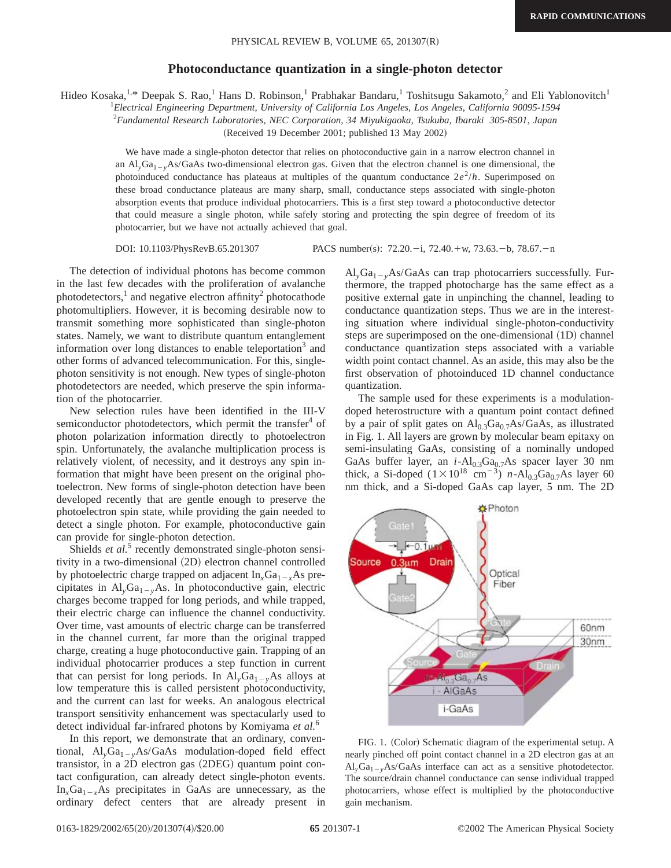## **Photoconductance quantization in a single-photon detector**

Hideo Kosaka,<sup>1,\*</sup> Deepak S. Rao,<sup>1</sup> Hans D. Robinson,<sup>1</sup> Prabhakar Bandaru,<sup>1</sup> Toshitsugu Sakamoto,<sup>2</sup> and Eli Yablonovitch<sup>1</sup>

1 *Electrical Engineering Department, University of California Los Angeles, Los Angeles, California 90095-1594*

2 *Fundamental Research Laboratories, NEC Corporation, 34 Miyukigaoka, Tsukuba, Ibaraki 305-8501, Japan*

(Received 19 December 2001; published 13 May 2002)

We have made a single-photon detector that relies on photoconductive gain in a narrow electron channel in an  $Al_yGa_{1-y}As/GaAs$  two-dimensional electron gas. Given that the electron channel is one dimensional, the photoinduced conductance has plateaus at multiples of the quantum conductance  $2e^2/h$ . Superimposed on these broad conductance plateaus are many sharp, small, conductance steps associated with single-photon absorption events that produce individual photocarriers. This is a first step toward a photoconductive detector that could measure a single photon, while safely storing and protecting the spin degree of freedom of its photocarrier, but we have not actually achieved that goal.

DOI: 10.1103/PhysRevB.65.201307 PACS number(s): 72.20.-i, 72.40.+w, 73.63.-b, 78.67.-n

The detection of individual photons has become common in the last few decades with the proliferation of avalanche photodetectors,<sup>1</sup> and negative electron affinity<sup>2</sup> photocathode photomultipliers. However, it is becoming desirable now to transmit something more sophisticated than single-photon states. Namely, we want to distribute quantum entanglement information over long distances to enable teleportation<sup>3</sup> and other forms of advanced telecommunication. For this, singlephoton sensitivity is not enough. New types of single-photon photodetectors are needed, which preserve the spin information of the photocarrier.

New selection rules have been identified in the III-V semiconductor photodetectors, which permit the transfer<sup>4</sup> of photon polarization information directly to photoelectron spin. Unfortunately, the avalanche multiplication process is relatively violent, of necessity, and it destroys any spin information that might have been present on the original photoelectron. New forms of single-photon detection have been developed recently that are gentle enough to preserve the photoelectron spin state, while providing the gain needed to detect a single photon. For example, photoconductive gain can provide for single-photon detection.

Shields *et al.*<sup>5</sup> recently demonstrated single-photon sensitivity in a two-dimensional (2D) electron channel controlled by photoelectric charge trapped on adjacent  $In_{x}Ga_{1-x}As$  precipitates in  $Al_vGa_{1-v}As$ . In photoconductive gain, electric charges become trapped for long periods, and while trapped, their electric charge can influence the channel conductivity. Over time, vast amounts of electric charge can be transferred in the channel current, far more than the original trapped charge, creating a huge photoconductive gain. Trapping of an individual photocarrier produces a step function in current that can persist for long periods. In  $Al_vGa_{1-v}As$  alloys at low temperature this is called persistent photoconductivity, and the current can last for weeks. An analogous electrical transport sensitivity enhancement was spectacularly used to detect individual far-infrared photons by Komiyama *et al.*<sup>6</sup>

In this report, we demonstrate that an ordinary, conventional,  $Al_vGa_{1-v}As/GaAs$  modulation-doped field effect transistor, in a  $2D$  electron gas  $(2DEG)$  quantum point contact configuration, can already detect single-photon events.  $In<sub>x</sub>Ga<sub>1-x</sub>As precipitates in GaAs are unnecessary, as the$ ordinary defect centers that are already present in

 $Al_vGa_{1-v}As/GaAs$  can trap photocarriers successfully. Furthermore, the trapped photocharge has the same effect as a positive external gate in unpinching the channel, leading to conductance quantization steps. Thus we are in the interesting situation where individual single-photon-conductivity steps are superimposed on the one-dimensional  $(1D)$  channel conductance quantization steps associated with a variable width point contact channel. As an aside, this may also be the first observation of photoinduced 1D channel conductance quantization.

The sample used for these experiments is a modulationdoped heterostructure with a quantum point contact defined by a pair of split gates on  $\text{Al}_{0.3}\text{Ga}_{0.7}\text{As/GaAs}$ , as illustrated in Fig. 1. All layers are grown by molecular beam epitaxy on semi-insulating GaAs, consisting of a nominally undoped GaAs buffer layer, an  $i$ -Al<sub>0.3</sub>Ga<sub>0.7</sub>As spacer layer 30 nm thick, a Si-doped  $(1\times10^{18} \text{ cm}^{-3})$  *n*-Al<sub>0.3</sub>Ga<sub>0.7</sub>As layer 60 nm thick, and a Si-doped GaAs cap layer, 5 nm. The 2D



FIG. 1. (Color) Schematic diagram of the experimental setup. A nearly pinched off point contact channel in a 2D electron gas at an  $Al_vGa_{1-v}As/GaAs$  interface can act as a sensitive photodetector. The source/drain channel conductance can sense individual trapped photocarriers, whose effect is multiplied by the photoconductive gain mechanism.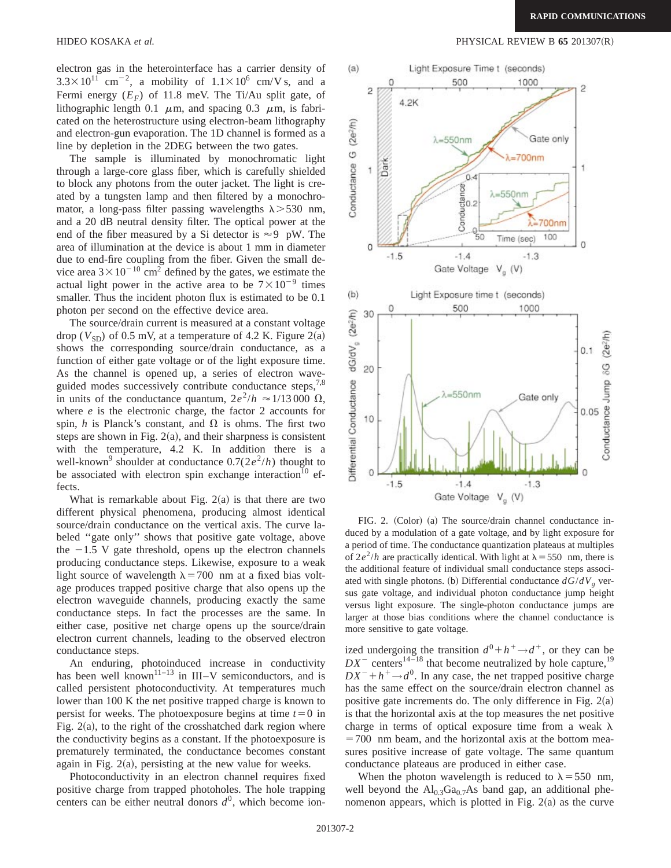electron gas in the heterointerface has a carrier density of  $3.3\times10^{11}$  cm<sup>-2</sup>, a mobility of  $1.1\times10^{6}$  cm/V s, and a Fermi energy  $(E_F)$  of 11.8 meV. The Ti/Au split gate, of lithographic length 0.1  $\mu$ m, and spacing 0.3  $\mu$ m, is fabricated on the heterostructure using electron-beam lithography and electron-gun evaporation. The 1D channel is formed as a line by depletion in the 2DEG between the two gates.

The sample is illuminated by monochromatic light through a large-core glass fiber, which is carefully shielded to block any photons from the outer jacket. The light is created by a tungsten lamp and then filtered by a monochromator, a long-pass filter passing wavelengths  $\lambda > 530$  nm, and a 20 dB neutral density filter. The optical power at the end of the fiber measured by a Si detector is  $\approx$  9 pW. The area of illumination at the device is about 1 mm in diameter due to end-fire coupling from the fiber. Given the small device area  $3 \times 10^{-10}$  cm<sup>2</sup> defined by the gates, we estimate the actual light power in the active area to be  $7\times10^{-9}$  times smaller. Thus the incident photon flux is estimated to be  $0.1$ photon per second on the effective device area.

The source/drain current is measured at a constant voltage drop ( $V_{SD}$ ) of 0.5 mV, at a temperature of 4.2 K. Figure 2(a) shows the corresponding source/drain conductance, as a function of either gate voltage or of the light exposure time. As the channel is opened up, a series of electron waveguided modes successively contribute conductance steps,<sup>7,8</sup> in units of the conductance quantum,  $2e^2/h \approx 1/13000 \Omega$ , where *e* is the electronic charge, the factor 2 accounts for spin, *h* is Planck's constant, and  $\Omega$  is ohms. The first two steps are shown in Fig.  $2(a)$ , and their sharpness is consistent with the temperature, 4.2 K. In addition there is a well-known<sup>9</sup> shoulder at conductance  $0.7(2e^2/h)$  thought to be associated with electron spin exchange interaction<sup>10</sup> effects.

What is remarkable about Fig.  $2(a)$  is that there are two different physical phenomena, producing almost identical source/drain conductance on the vertical axis. The curve labeled ''gate only'' shows that positive gate voltage, above the  $-1.5$  V gate threshold, opens up the electron channels producing conductance steps. Likewise, exposure to a weak light source of wavelength  $\lambda$  = 700 nm at a fixed bias voltage produces trapped positive charge that also opens up the electron waveguide channels, producing exactly the same conductance steps. In fact the processes are the same. In either case, positive net charge opens up the source/drain electron current channels, leading to the observed electron conductance steps.

An enduring, photoinduced increase in conductivity has been well known<sup>11–13</sup> in III–V semiconductors, and is called persistent photoconductivity. At temperatures much lower than 100 K the net positive trapped charge is known to persist for weeks. The photoexposure begins at time  $t=0$  in Fig.  $2(a)$ , to the right of the crosshatched dark region where the conductivity begins as a constant. If the photoexposure is prematurely terminated, the conductance becomes constant again in Fig.  $2(a)$ , persisting at the new value for weeks.

Photoconductivity in an electron channel requires fixed positive charge from trapped photoholes. The hole trapping centers can be either neutral donors  $d^0$ , which become ion-

HIDEO KOSAKA *et al.* PHYSICAL REVIEW B **65** 201307(R)



FIG. 2. (Color) (a) The source/drain channel conductance induced by a modulation of a gate voltage, and by light exposure for a period of time. The conductance quantization plateaus at multiples of  $2e^2/h$  are practically identical. With light at  $\lambda = 550$  nm, there is the additional feature of individual small conductance steps associated with single photons. (b) Differential conductance  $dG/dV<sub>g</sub>$  versus gate voltage, and individual photon conductance jump height versus light exposure. The single-photon conductance jumps are larger at those bias conditions where the channel conductance is more sensitive to gate voltage.

ized undergoing the transition  $d^0 + h^+ \rightarrow d^+$ , or they can be  $DX^-$  centers<sup>14–18</sup> that become neutralized by hole capture,<sup>19</sup>  $DX^{-}+h^{+}\rightarrow d^{0}$ . In any case, the net trapped positive charge has the same effect on the source/drain electron channel as positive gate increments do. The only difference in Fig.  $2(a)$ is that the horizontal axis at the top measures the net positive charge in terms of optical exposure time from a weak  $\lambda$  $=700$  nm beam, and the horizontal axis at the bottom measures positive increase of gate voltage. The same quantum conductance plateaus are produced in either case.

When the photon wavelength is reduced to  $\lambda = 550$  nm, well beyond the  $Al_{0,3}Ga_{0,7}As$  band gap, an additional phenomenon appears, which is plotted in Fig.  $2(a)$  as the curve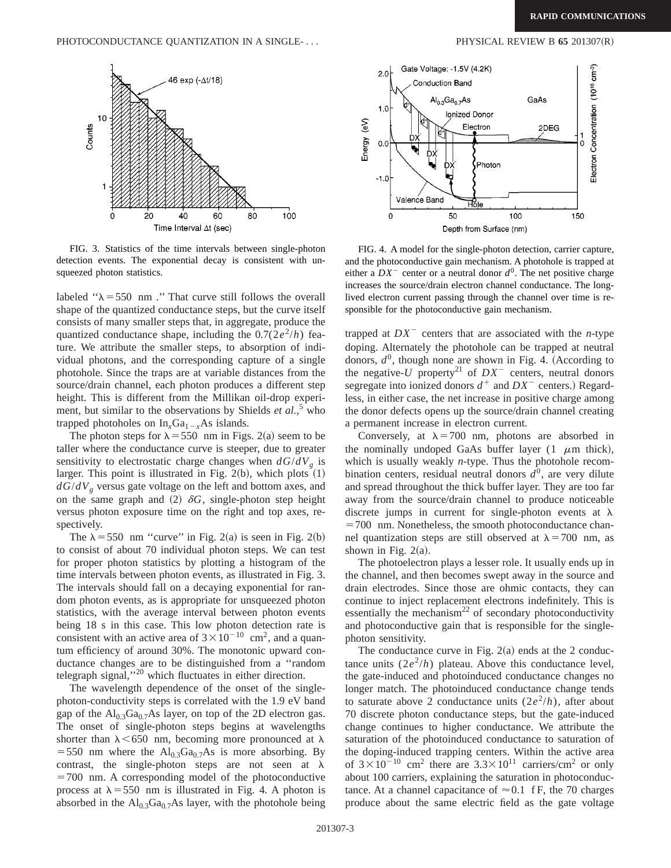

FIG. 3. Statistics of the time intervals between single-photon detection events. The exponential decay is consistent with unsqueezed photon statistics.

labeled " $\lambda$  = 550 nm ." That curve still follows the overall shape of the quantized conductance steps, but the curve itself consists of many smaller steps that, in aggregate, produce the quantized conductance shape, including the  $0.7(2e^2/h)$  feature. We attribute the smaller steps, to absorption of individual photons, and the corresponding capture of a single photohole. Since the traps are at variable distances from the source/drain channel, each photon produces a different step height. This is different from the Millikan oil-drop experiment, but similar to the observations by Shields *et al.*<sup>5</sup> who trapped photoholes on  $In_{x}Ga_{1-x}As$  islands.

The photon steps for  $\lambda$  = 550 nm in Figs. 2(a) seem to be taller where the conductance curve is steeper, due to greater sensitivity to electrostatic charge changes when  $dG/dV<sub>g</sub>$  is larger. This point is illustrated in Fig.  $2(b)$ , which plots  $(1)$  $dG/dV<sub>g</sub>$  versus gate voltage on the left and bottom axes, and on the same graph and  $(2)$   $\delta G$ , single-photon step height versus photon exposure time on the right and top axes, respectively.

The  $\lambda$  = 550 nm "curve" in Fig. 2(a) is seen in Fig. 2(b) to consist of about 70 individual photon steps. We can test for proper photon statistics by plotting a histogram of the time intervals between photon events, as illustrated in Fig. 3. The intervals should fall on a decaying exponential for random photon events, as is appropriate for unsqueezed photon statistics, with the average interval between photon events being 18 s in this case. This low photon detection rate is consistent with an active area of  $3 \times 10^{-10}$  cm<sup>2</sup>, and a quantum efficiency of around 30%. The monotonic upward conductance changes are to be distinguished from a ''random telegraph signal,''20 which fluctuates in either direction.

The wavelength dependence of the onset of the singlephoton-conductivity steps is correlated with the 1.9 eV band gap of the  $Al_0$ <sub>3</sub>Ga<sub>0.7</sub>As layer, on top of the 2D electron gas. The onset of single-photon steps begins at wavelengths shorter than  $\lambda$  < 650 nm, becoming more pronounced at  $\lambda$ =550 nm where the  $Al_{0.3}Ga_{0.7}As$  is more absorbing. By contrast, the single-photon steps are not seen at  $\lambda$  $=700$  nm. A corresponding model of the photoconductive process at  $\lambda$  = 550 nm is illustrated in Fig. 4. A photon is absorbed in the  $Al<sub>0.3</sub>Ga<sub>0.7</sub>As layer, with the photohole being$ 



FIG. 4. A model for the single-photon detection, carrier capture, and the photoconductive gain mechanism. A photohole is trapped at either a  $DX^-$  center or a neutral donor  $d^0$ . The net positive charge increases the source/drain electron channel conductance. The longlived electron current passing through the channel over time is responsible for the photoconductive gain mechanism.

trapped at  $DX^-$  centers that are associated with the *n*-type doping. Alternately the photohole can be trapped at neutral donors,  $d^0$ , though none are shown in Fig. 4. (According to the negative- $U$  property<sup>21</sup> of  $DX^-$  centers, neutral donors segregate into ionized donors  $d^+$  and  $DX^-$  centers.) Regardless, in either case, the net increase in positive charge among the donor defects opens up the source/drain channel creating a permanent increase in electron current.

Conversely, at  $\lambda = 700$  nm, photons are absorbed in the nominally undoped GaAs buffer layer  $(1 \mu m)$  thick), which is usually weakly *n*-type. Thus the photohole recombination centers, residual neutral donors  $d^0$ , are very dilute and spread throughout the thick buffer layer. They are too far away from the source/drain channel to produce noticeable discrete jumps in current for single-photon events at  $\lambda$  $=700$  nm. Nonetheless, the smooth photoconductance channel quantization steps are still observed at  $\lambda = 700$  nm, as shown in Fig.  $2(a)$ .

The photoelectron plays a lesser role. It usually ends up in the channel, and then becomes swept away in the source and drain electrodes. Since those are ohmic contacts, they can continue to inject replacement electrons indefinitely. This is essentially the mechanism $^{22}$  of secondary photoconductivity and photoconductive gain that is responsible for the singlephoton sensitivity.

The conductance curve in Fig.  $2(a)$  ends at the 2 conductance units  $(2e^2/h)$  plateau. Above this conductance level, the gate-induced and photoinduced conductance changes no longer match. The photoinduced conductance change tends to saturate above 2 conductance units  $(2e^2/h)$ , after about 70 discrete photon conductance steps, but the gate-induced change continues to higher conductance. We attribute the saturation of the photoinduced conductance to saturation of the doping-induced trapping centers. Within the active area of  $3 \times 10^{-10}$  cm<sup>2</sup> there are  $3.3 \times 10^{11}$  carriers/cm<sup>2</sup> or only about 100 carriers, explaining the saturation in photoconductance. At a channel capacitance of  $\approx 0.1$  f F, the 70 charges produce about the same electric field as the gate voltage